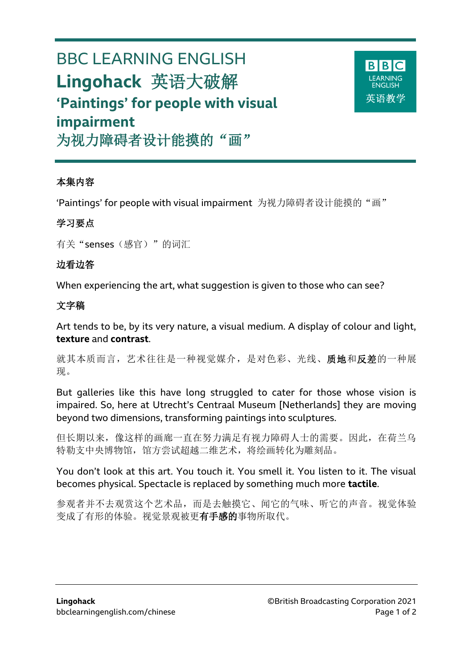# BBC LEARNING ENGLISH **Lingohack** 英语大破解 **'Paintings' for people with visual impairment**



为视力障碍者设计能摸的"画"

### 本集内容

'Paintings' for people with visual impairment 为视力障碍者设计能摸的"画"

## 学习要点

有关"senses(感官)"的词汇

## 边看边答

When experiencing the art, what suggestion is given to those who can see?

## 文字稿

Art tends to be, by its very nature, a visual medium. A display of colour and light, **texture** and **contrast**.

就其本质而言,艺术往往是一种视觉媒介,是对色彩、光线、质地和反差的一种展 现。

But galleries like this have long struggled to cater for those whose vision is impaired. So, here at Utrecht's Centraal Museum [Netherlands] they are moving beyond two dimensions, transforming paintings into sculptures.

但长期以来,像这样的画廊一直在努力满足有视力障碍人士的需要。因此,在荷兰乌 特勒支中央博物馆,馆方尝试超越二维艺术,将绘画转化为雕刻品。

You don't look at this art. You touch it. You smell it. You listen to it. The visual becomes physical. Spectacle is replaced by something much more **tactile**.

参观者并不去观赏这个艺术品,而是去触摸它、闻它的气味、听它的声音。视觉体验 变成了有形的体验。视觉景观被更有手感的事物所取代。